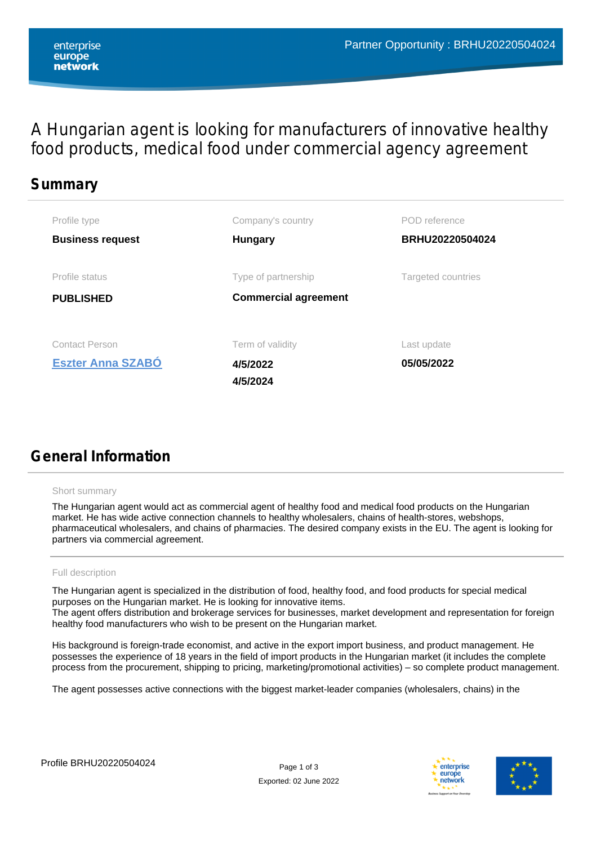A Hungarian agent is looking for manufacturers of innovative healthy food products, medical food under commercial agency agreement

# **Summary Business request Hungary BRHU20220504024 PUBLISHED [Eszter Anna SZABÓ](network/network-directory/user-info/61ab5d15-c592-4b79-aa13-017fbfbff526/Eszter%20Anna%20SZAB%c3%93) 05/05/2022** Profile type **Company's country Company's Company's Company's Country** POD reference Profile status Type of partnership Targeted countries Contact Person **Contact Person Contact Person Contact Person** Last update **Commercial agreement 4/5/2022 4/5/2024**

# **General Information**

### Short summary

The Hungarian agent would act as commercial agent of healthy food and medical food products on the Hungarian market. He has wide active connection channels to healthy wholesalers, chains of health-stores, webshops, pharmaceutical wholesalers, and chains of pharmacies. The desired company exists in the EU. The agent is looking for partners via commercial agreement.

### Full description

The Hungarian agent is specialized in the distribution of food, healthy food, and food products for special medical purposes on the Hungarian market. He is looking for innovative items. The agent offers distribution and brokerage services for businesses, market development and representation for foreign healthy food manufacturers who wish to be present on the Hungarian market.

His background is foreign-trade economist, and active in the export import business, and product management. He possesses the experience of 18 years in the field of import products in the Hungarian market (it includes the complete process from the procurement, shipping to pricing, marketing/promotional activities) – so complete product management.

The agent possesses active connections with the biggest market-leader companies (wholesalers, chains) in the



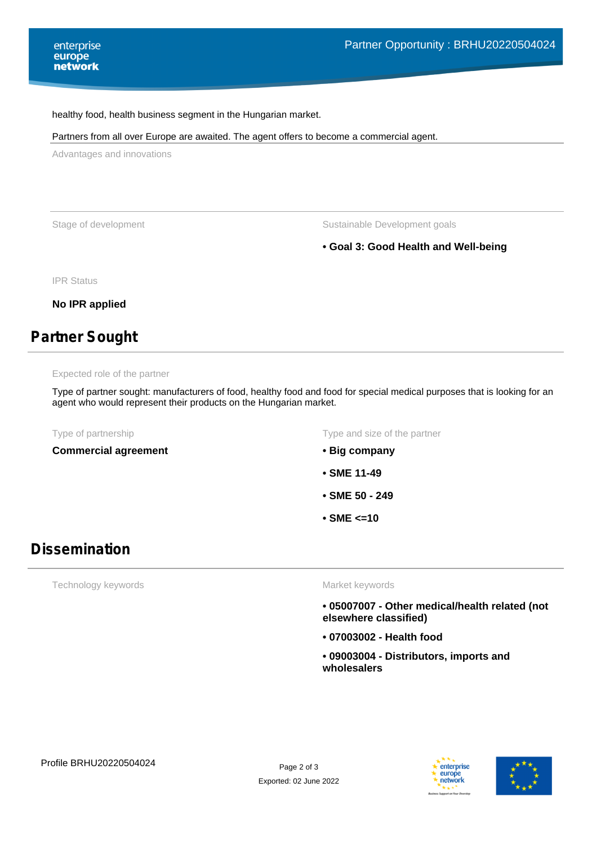#### healthy food, health business segment in the Hungarian market.

#### Partners from all over Europe are awaited. The agent offers to become a commercial agent.

Advantages and innovations

Stage of development **Stage of development** Sustainable Development goals

## **• Goal 3: Good Health and Well-being**

IPR Status

**No IPR applied**

# **Partner Sought**

#### Expected role of the partner

Type of partner sought: manufacturers of food, healthy food and food for special medical purposes that is looking for an agent who would represent their products on the Hungarian market.

**Commercial agreement • Big company**

Type of partnership Type and size of the partner

- 
- **SME 11-49**
- **SME 50 249**
- **SME <=10**

## **Dissemination**

Technology keywords

#### Market keywords

- **05007007 Other medical/health related (not elsewhere classified)**
- **07003002 Health food**
- **09003004 Distributors, imports and wholesalers**